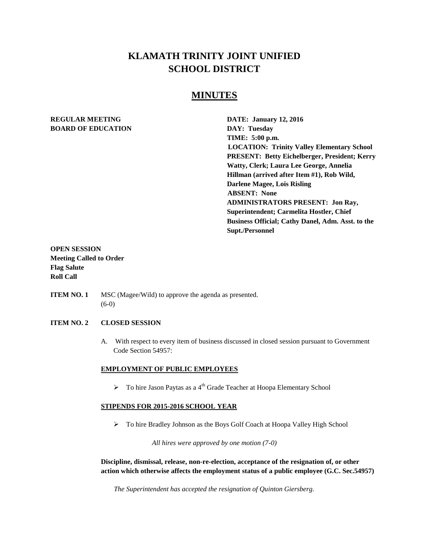## **KLAMATH TRINITY JOINT UNIFIED SCHOOL DISTRICT**

## **MINUTES**

# **BOARD OF EDUCATION DAY: Tuesday**

**REGULAR MEETING DATE: January 12, 2016 TIME: 5:00 p.m. LOCATION: Trinity Valley Elementary School PRESENT: Betty Eichelberger, President; Kerry Watty, Clerk; Laura Lee George, Annelia Hillman (arrived after Item #1), Rob Wild, Darlene Magee, Lois Risling ABSENT: None ADMINISTRATORS PRESENT: Jon Ray, Superintendent; Carmelita Hostler, Chief Business Official; Cathy Danel, Adm. Asst. to the Supt./Personnel** 

## **OPEN SESSION Meeting Called to Order Flag Salute Roll Call**

**ITEM NO. 1** MSC (Magee/Wild) to approve the agenda as presented. (6-0)

#### **ITEM NO. 2 CLOSED SESSION**

A. With respect to every item of business discussed in closed session pursuant to Government Code Section 54957:

#### **EMPLOYMENT OF PUBLIC EMPLOYEES**

 $\triangleright$  To hire Jason Paytas as a 4<sup>th</sup> Grade Teacher at Hoopa Elementary School

#### **STIPENDS FOR 2015-2016 SCHOOL YEAR**

To hire Bradley Johnson as the Boys Golf Coach at Hoopa Valley High School

*All hires were approved by one motion (7-0)*

**Discipline, dismissal, release, non-re-election, acceptance of the resignation of, or other action which otherwise affects the employment status of a public employee (G.C. Sec.54957)**

*The Superintendent has accepted the resignation of Quinton Giersberg.*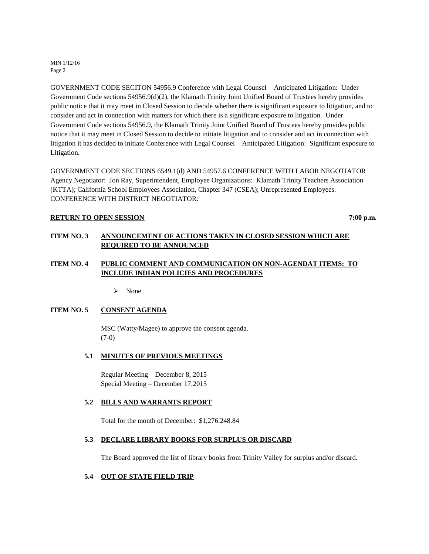MIN 1/12/16 Page 2

GOVERNMENT CODE SECITON 54956.9 Conference with Legal Counsel – Anticipated Litigation: Under Government Code sections 54956.9(d)(2), the Klamath Trinity Joint Unified Board of Trustees hereby provides public notice that it may meet in Closed Session to decide whether there is significant exposure to litigation, and to consider and act in connection with matters for which there is a significant exposure to litigation. Under Government Code sections 54956.9, the Klamath Trinity Joint Unified Board of Trustees hereby provides public notice that it may meet in Closed Session to decide to initiate litigation and to consider and act in connection with litigation it has decided to initiate Conference with Legal Counsel – Anticipated Litigation: Significant exposure to Litigation.

GOVERNMENT CODE SECTIONS 6549.1(d) AND 54957.6 CONFERENCE WITH LABOR NEGOTIATOR Agency Negotiator: Jon Ray, Superintendent, Employee Organizations: Klamath Trinity Teachers Association (KTTA); California School Employees Association, Chapter 347 (CSEA); Unrepresented Employees. CONFERENCE WITH DISTRICT NEGOTIATOR:

#### **RETURN TO OPEN SESSION** 7:00 p.m.

## **ITEM NO. 3 ANNOUNCEMENT OF ACTIONS TAKEN IN CLOSED SESSION WHICH ARE REQUIRED TO BE ANNOUNCED**

## **ITEM NO. 4 PUBLIC COMMENT AND COMMUNICATION ON NON-AGENDAT ITEMS: TO INCLUDE INDIAN POLICIES AND PROCEDURES**

 $\triangleright$  None

## **ITEM NO. 5 CONSENT AGENDA**

MSC (Watty/Magee) to approve the consent agenda. (7-0)

#### **5.1 MINUTES OF PREVIOUS MEETINGS**

Regular Meeting – December 8, 2015 Special Meeting – December 17,2015

#### **5.2 BILLS AND WARRANTS REPORT**

Total for the month of December: \$1,276.248.84

#### **5.3 DECLARE LIBRARY BOOKS FOR SURPLUS OR DISCARD**

The Board approved the list of library books from Trinity Valley for surplus and/or discard.

## **5.4 OUT OF STATE FIELD TRIP**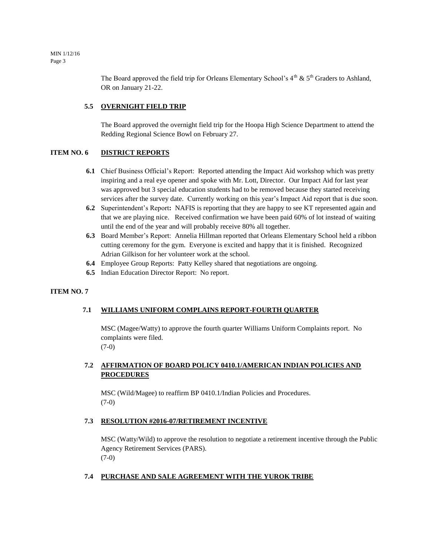MIN 1/12/16 Page 3

> The Board approved the field trip for Orleans Elementary School's  $4<sup>th</sup>$  &  $5<sup>th</sup>$  Graders to Ashland, OR on January 21-22.

## **5.5 OVERNIGHT FIELD TRIP**

The Board approved the overnight field trip for the Hoopa High Science Department to attend the Redding Regional Science Bowl on February 27.

## **ITEM NO. 6 DISTRICT REPORTS**

- **6.1** Chief Business Official's Report: Reported attending the Impact Aid workshop which was pretty inspiring and a real eye opener and spoke with Mr. Lott, Director. Our Impact Aid for last year was approved but 3 special education students had to be removed because they started receiving services after the survey date. Currently working on this year's Impact Aid report that is due soon.
- **6.2** Superintendent's Report**:** NAFIS is reporting that they are happy to see KT represented again and that we are playing nice. Received confirmation we have been paid 60% of lot instead of waiting until the end of the year and will probably receive 80% all together.
- **6.3** Board Member's Report: Annelia Hillman reported that Orleans Elementary School held a ribbon cutting ceremony for the gym. Everyone is excited and happy that it is finished. Recognized Adrian Gilkison for her volunteer work at the school.
- **6.4** Employee Group Reports: Patty Kelley shared that negotiations are ongoing.
- **6.5** Indian Education Director Report: No report.

#### **ITEM NO. 7**

#### **7.1 WILLIAMS UNIFORM COMPLAINS REPORT-FOURTH QUARTER**

MSC (Magee/Watty) to approve the fourth quarter Williams Uniform Complaints report. No complaints were filed. (7-0)

## **7.2 AFFIRMATION OF BOARD POLICY 0410.1/AMERICAN INDIAN POLICIES AND PROCEDURES**

MSC (Wild/Magee) to reaffirm BP 0410.1/Indian Policies and Procedures. (7-0)

#### **7.3 RESOLUTION #2016-07/RETIREMENT INCENTIVE**

MSC (Watty/Wild) to approve the resolution to negotiate a retirement incentive through the Public Agency Retirement Services (PARS). (7-0)

## **7.4 PURCHASE AND SALE AGREEMENT WITH THE YUROK TRIBE**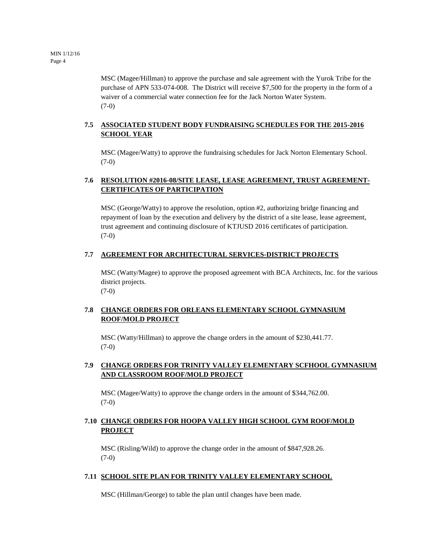MSC (Magee/Hillman) to approve the purchase and sale agreement with the Yurok Tribe for the purchase of APN 533-074-008. The District will receive \$7,500 for the property in the form of a waiver of a commercial water connection fee for the Jack Norton Water System. (7-0)

## **7.5 ASSOCIATED STUDENT BODY FUNDRAISING SCHEDULES FOR THE 2015-2016 SCHOOL YEAR**

MSC (Magee/Watty) to approve the fundraising schedules for Jack Norton Elementary School. (7-0)

## **7.6 RESOLUTION #2016-08/SITE LEASE, LEASE AGREEMENT, TRUST AGREEMENT-CERTIFICATES OF PARTICIPATION**

MSC (George/Watty) to approve the resolution, option #2, authorizing bridge financing and repayment of loan by the execution and delivery by the district of a site lease, lease agreement, trust agreement and continuing disclosure of KTJUSD 2016 certificates of participation. (7-0)

## **7.7 AGREEMENT FOR ARCHITECTURAL SERVICES-DISTRICT PROJECTS**

MSC (Watty/Magee) to approve the proposed agreement with BCA Architects, Inc. for the various district projects. (7-0)

## **7.8 CHANGE ORDERS FOR ORLEANS ELEMENTARY SCHOOL GYMNASIUM ROOF/MOLD PROJECT**

MSC (Watty/Hillman) to approve the change orders in the amount of \$230,441.77. (7-0)

## **7.9 CHANGE ORDERS FOR TRINITY VALLEY ELEMENTARY SCFHOOL GYMNASIUM AND CLASSROOM ROOF/MOLD PROJECT**

MSC (Magee/Watty) to approve the change orders in the amount of \$344,762.00. (7-0)

## **7.10 CHANGE ORDERS FOR HOOPA VALLEY HIGH SCHOOL GYM ROOF/MOLD PROJECT**

MSC (Risling/Wild) to approve the change order in the amount of \$847,928.26. (7-0)

## **7.11 SCHOOL SITE PLAN FOR TRINITY VALLEY ELEMENTARY SCHOOL**

MSC (Hillman/George) to table the plan until changes have been made.